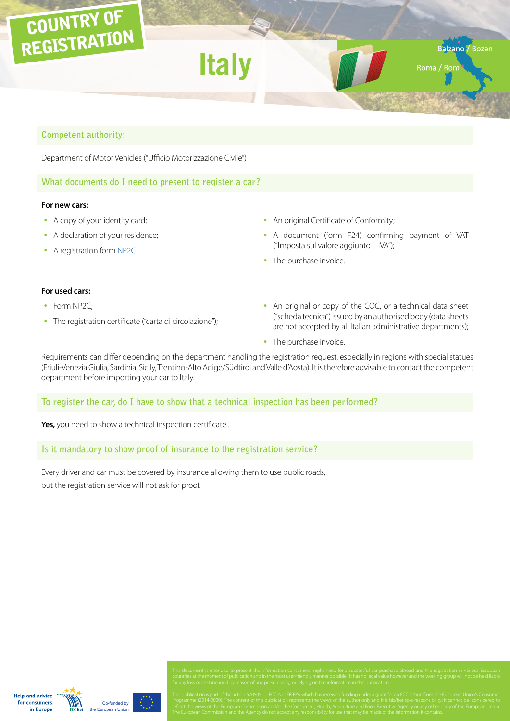# COUNTRY OF REGISTRATION

**Italy**

# **Competent authority:**

Department of Motor Vehicles ("Ufficio Motorizzazione Civile")

# **What documents do I need to present to register a car?**

#### **For new cars:**

- A copy of your identity card;
- A declaration of your residence;
- A registration form [NP2C](http://www.aci.it/i-servizi/guide-utili/guida-pratiche-auto/modulistica-pra.html)
- An original Certificate of Conformity;
- A document (form F24) confirming payment of VAT ("Imposta sul valore aggiunto – IVA");

**Balzano** / Bozen

Roma / Rom

• The purchase invoice.

 $\frac{1}{2}$ 

#### **For used cars:**

- Form NP2C:
- The registration certificate ("carta di circolazione");
- An original or copy of the COC, or a technical data sheet ("scheda tecnica") issued by an authorised body (data sheets are not accepted by all Italian administrative departments);
- The purchase invoice.

Requirements can differ depending on the department handling the registration request, especially in regions with special statues (Friuli-Venezia Giulia, Sardinia, Sicily, Trentino-Alto Adige/Südtirol and Valle d'Aosta). It is therefore advisable to contact the competent department before importing your car to Italy.

## **To register the car, do I have to show that a technical inspection has been performed?**

Yes, you need to show a technical inspection certificate..

**Is it mandatory to show proof of insurance to the registration service?**

Every driver and car must be covered by insurance allowing them to use public roads, but the registration service will not ask for proof.